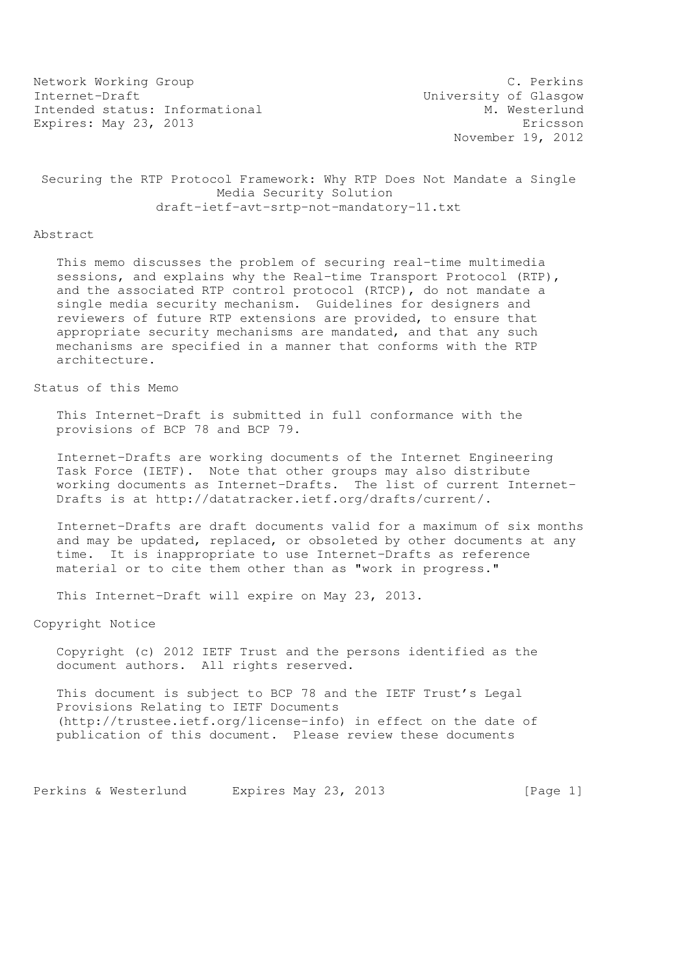Network Working Group C. Perkins Internet-Draft<br>Intended status: Informational M. Westerlund Intended status: Informational Expires: May 23, 2013 **Expires:** May 23, 2013

November 19, 2012

## Securing the RTP Protocol Framework: Why RTP Does Not Mandate a Single Media Security Solution draft-ietf-avt-srtp-not-mandatory-11.txt

#### Abstract

 This memo discusses the problem of securing real-time multimedia sessions, and explains why the Real-time Transport Protocol (RTP), and the associated RTP control protocol (RTCP), do not mandate a single media security mechanism. Guidelines for designers and reviewers of future RTP extensions are provided, to ensure that appropriate security mechanisms are mandated, and that any such mechanisms are specified in a manner that conforms with the RTP architecture.

## Status of this Memo

 This Internet-Draft is submitted in full conformance with the provisions of BCP 78 and BCP 79.

 Internet-Drafts are working documents of the Internet Engineering Task Force (IETF). Note that other groups may also distribute working documents as Internet-Drafts. The list of current Internet- Drafts is at http://datatracker.ietf.org/drafts/current/.

 Internet-Drafts are draft documents valid for a maximum of six months and may be updated, replaced, or obsoleted by other documents at any time. It is inappropriate to use Internet-Drafts as reference material or to cite them other than as "work in progress."

This Internet-Draft will expire on May 23, 2013.

Copyright Notice

 Copyright (c) 2012 IETF Trust and the persons identified as the document authors. All rights reserved.

 This document is subject to BCP 78 and the IETF Trust's Legal Provisions Relating to IETF Documents (http://trustee.ietf.org/license-info) in effect on the date of publication of this document. Please review these documents

Perkins & Westerlund Expires May 23, 2013 [Page 1]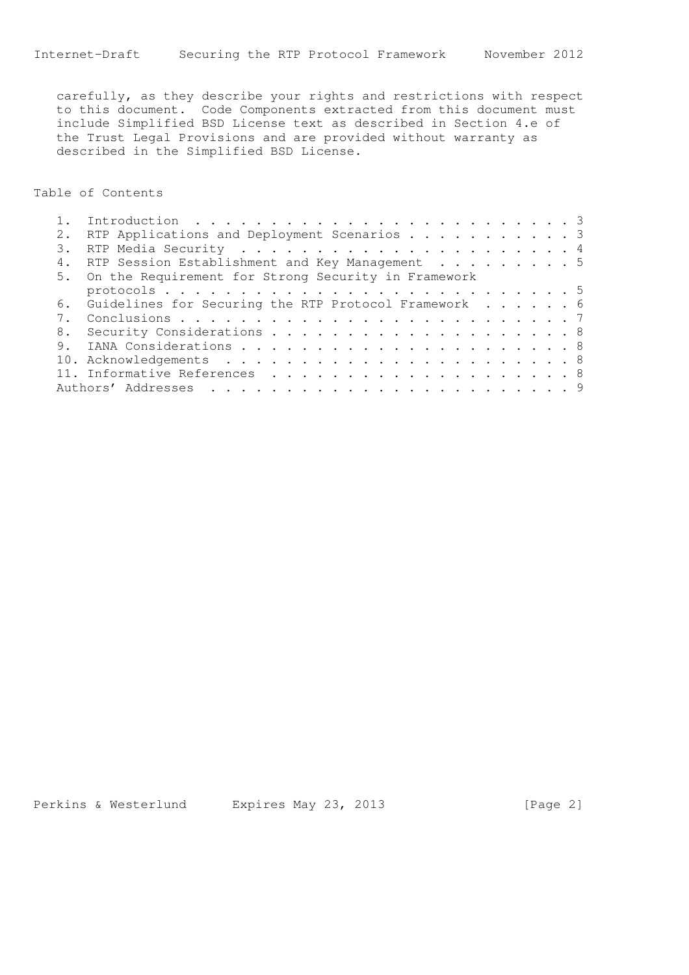carefully, as they describe your rights and restrictions with respect to this document. Code Components extracted from this document must include Simplified BSD License text as described in Section 4.e of the Trust Legal Provisions and are provided without warranty as described in the Simplified BSD License.

Table of Contents

|  | RTP Applications and Deployment Scenarios 3             |
|--|---------------------------------------------------------|
|  |                                                         |
|  | RTP Session Establishment and Key Management 5          |
|  | 5. On the Requirement for Strong Security in Framework  |
|  |                                                         |
|  | 6. Guidelines for Securing the RTP Protocol Framework 6 |
|  |                                                         |
|  |                                                         |
|  |                                                         |
|  |                                                         |
|  |                                                         |
|  |                                                         |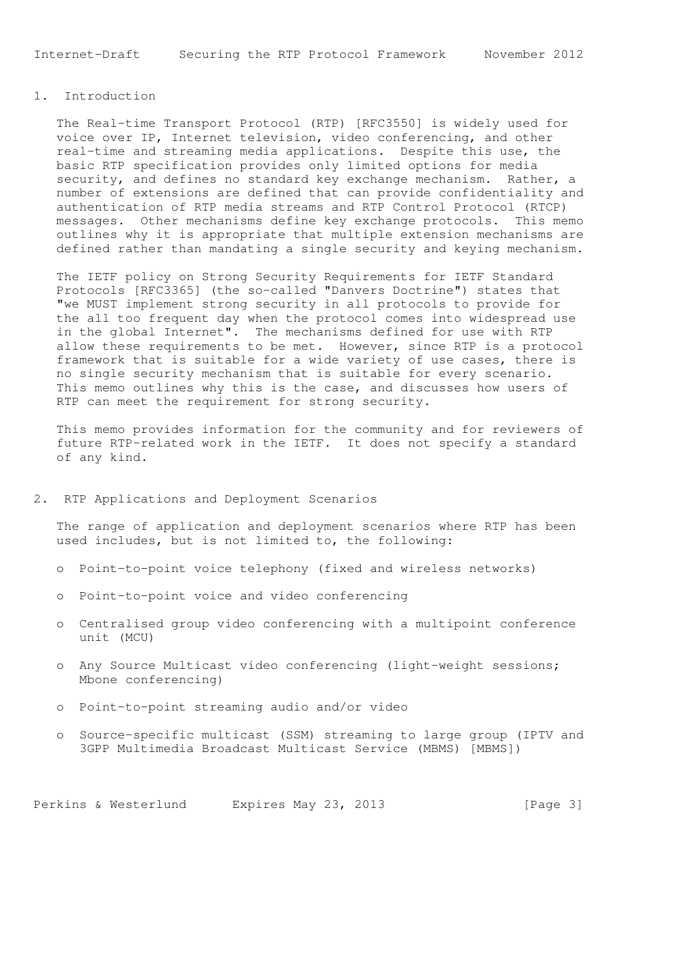# 1. Introduction

 The Real-time Transport Protocol (RTP) [RFC3550] is widely used for voice over IP, Internet television, video conferencing, and other real-time and streaming media applications. Despite this use, the basic RTP specification provides only limited options for media security, and defines no standard key exchange mechanism. Rather, a number of extensions are defined that can provide confidentiality and authentication of RTP media streams and RTP Control Protocol (RTCP) messages. Other mechanisms define key exchange protocols. This memo outlines why it is appropriate that multiple extension mechanisms are defined rather than mandating a single security and keying mechanism.

 The IETF policy on Strong Security Requirements for IETF Standard Protocols [RFC3365] (the so-called "Danvers Doctrine") states that "we MUST implement strong security in all protocols to provide for the all too frequent day when the protocol comes into widespread use in the global Internet". The mechanisms defined for use with RTP allow these requirements to be met. However, since RTP is a protocol framework that is suitable for a wide variety of use cases, there is no single security mechanism that is suitable for every scenario. This memo outlines why this is the case, and discusses how users of RTP can meet the requirement for strong security.

 This memo provides information for the community and for reviewers of future RTP-related work in the IETF. It does not specify a standard of any kind.

### 2. RTP Applications and Deployment Scenarios

 The range of application and deployment scenarios where RTP has been used includes, but is not limited to, the following:

- o Point-to-point voice telephony (fixed and wireless networks)
- o Point-to-point voice and video conferencing
- o Centralised group video conferencing with a multipoint conference unit (MCU)
- o Any Source Multicast video conferencing (light-weight sessions; Mbone conferencing)
- o Point-to-point streaming audio and/or video
- o Source-specific multicast (SSM) streaming to large group (IPTV and 3GPP Multimedia Broadcast Multicast Service (MBMS) [MBMS])

Perkins & Westerlund Expires May 23, 2013 [Page 3]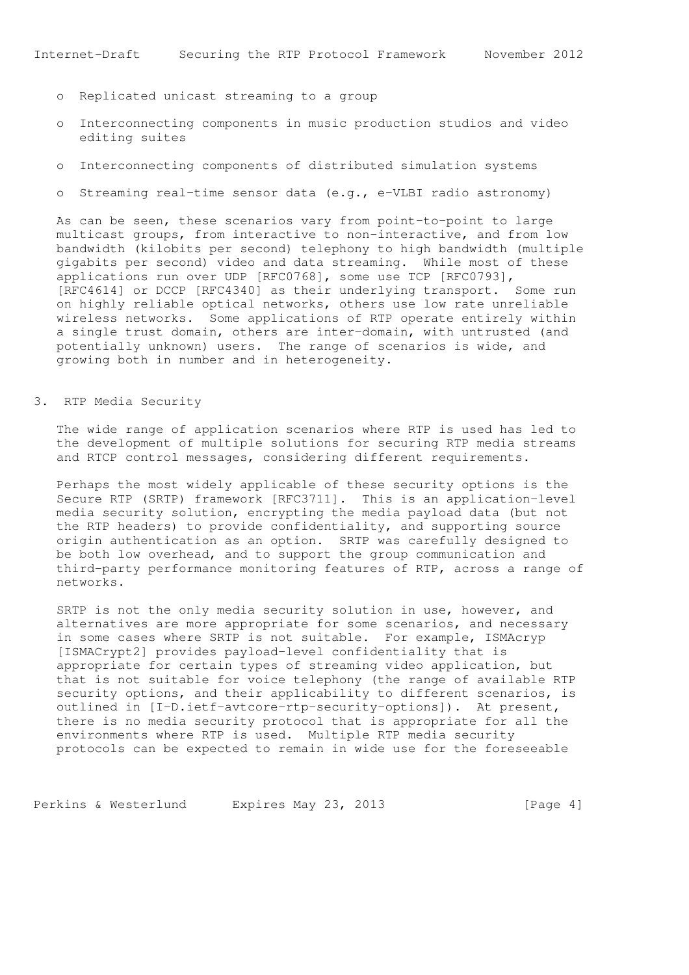- o Replicated unicast streaming to a group
- o Interconnecting components in music production studios and video editing suites
- o Interconnecting components of distributed simulation systems
- o Streaming real-time sensor data (e.g., e-VLBI radio astronomy)

 As can be seen, these scenarios vary from point-to-point to large multicast groups, from interactive to non-interactive, and from low bandwidth (kilobits per second) telephony to high bandwidth (multiple gigabits per second) video and data streaming. While most of these applications run over UDP [RFC0768], some use TCP [RFC0793], [RFC4614] or DCCP [RFC4340] as their underlying transport. Some run on highly reliable optical networks, others use low rate unreliable wireless networks. Some applications of RTP operate entirely within a single trust domain, others are inter-domain, with untrusted (and potentially unknown) users. The range of scenarios is wide, and growing both in number and in heterogeneity.

### 3. RTP Media Security

 The wide range of application scenarios where RTP is used has led to the development of multiple solutions for securing RTP media streams and RTCP control messages, considering different requirements.

 Perhaps the most widely applicable of these security options is the Secure RTP (SRTP) framework [RFC3711]. This is an application-level media security solution, encrypting the media payload data (but not the RTP headers) to provide confidentiality, and supporting source origin authentication as an option. SRTP was carefully designed to be both low overhead, and to support the group communication and third-party performance monitoring features of RTP, across a range of networks.

 SRTP is not the only media security solution in use, however, and alternatives are more appropriate for some scenarios, and necessary in some cases where SRTP is not suitable. For example, ISMAcryp [ISMACrypt2] provides payload-level confidentiality that is appropriate for certain types of streaming video application, but that is not suitable for voice telephony (the range of available RTP security options, and their applicability to different scenarios, is outlined in [I-D.ietf-avtcore-rtp-security-options]). At present, there is no media security protocol that is appropriate for all the environments where RTP is used. Multiple RTP media security protocols can be expected to remain in wide use for the foreseeable

Perkins & Westerlund Expires May 23, 2013 [Page 4]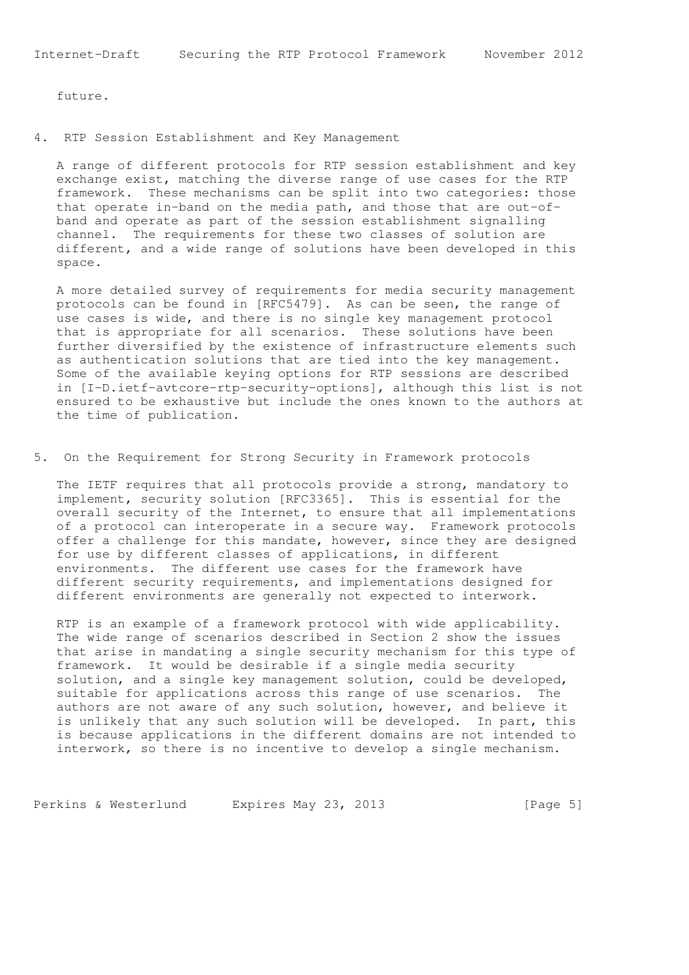future.

4. RTP Session Establishment and Key Management

 A range of different protocols for RTP session establishment and key exchange exist, matching the diverse range of use cases for the RTP framework. These mechanisms can be split into two categories: those that operate in-band on the media path, and those that are out-of band and operate as part of the session establishment signalling channel. The requirements for these two classes of solution are different, and a wide range of solutions have been developed in this space.

 A more detailed survey of requirements for media security management protocols can be found in [RFC5479]. As can be seen, the range of use cases is wide, and there is no single key management protocol that is appropriate for all scenarios. These solutions have been further diversified by the existence of infrastructure elements such as authentication solutions that are tied into the key management. Some of the available keying options for RTP sessions are described in [I-D.ietf-avtcore-rtp-security-options], although this list is not ensured to be exhaustive but include the ones known to the authors at the time of publication.

5. On the Requirement for Strong Security in Framework protocols

 The IETF requires that all protocols provide a strong, mandatory to implement, security solution [RFC3365]. This is essential for the overall security of the Internet, to ensure that all implementations of a protocol can interoperate in a secure way. Framework protocols offer a challenge for this mandate, however, since they are designed for use by different classes of applications, in different environments. The different use cases for the framework have different security requirements, and implementations designed for different environments are generally not expected to interwork.

 RTP is an example of a framework protocol with wide applicability. The wide range of scenarios described in Section 2 show the issues that arise in mandating a single security mechanism for this type of framework. It would be desirable if a single media security solution, and a single key management solution, could be developed, suitable for applications across this range of use scenarios. The authors are not aware of any such solution, however, and believe it is unlikely that any such solution will be developed. In part, this is because applications in the different domains are not intended to interwork, so there is no incentive to develop a single mechanism.

Perkins & Westerlund Expires May 23, 2013 [Page 5]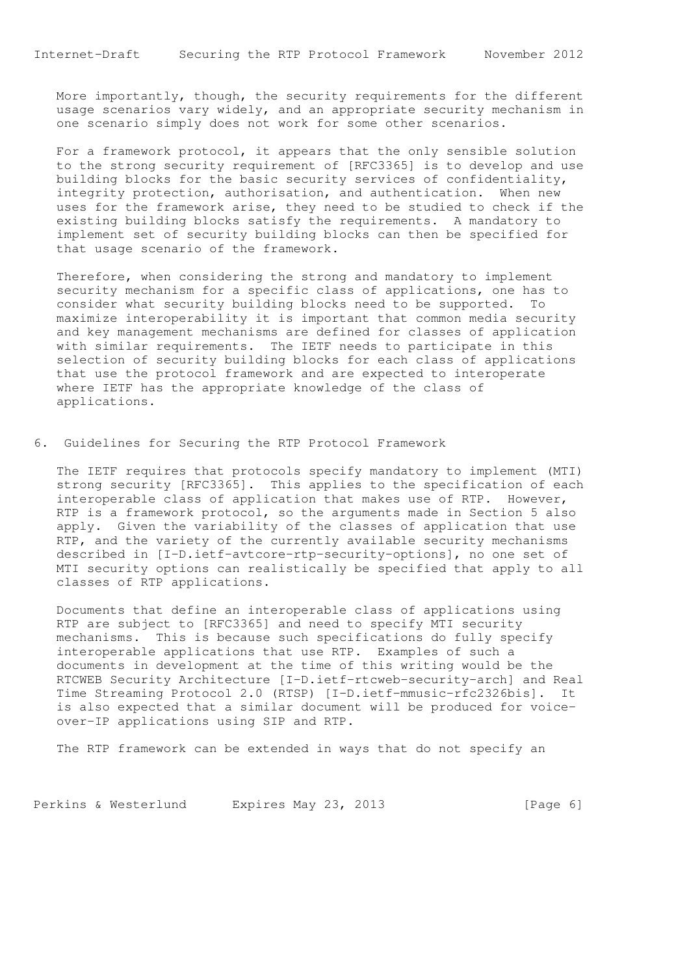More importantly, though, the security requirements for the different usage scenarios vary widely, and an appropriate security mechanism in one scenario simply does not work for some other scenarios.

 For a framework protocol, it appears that the only sensible solution to the strong security requirement of [RFC3365] is to develop and use building blocks for the basic security services of confidentiality, integrity protection, authorisation, and authentication. When new uses for the framework arise, they need to be studied to check if the existing building blocks satisfy the requirements. A mandatory to implement set of security building blocks can then be specified for that usage scenario of the framework.

 Therefore, when considering the strong and mandatory to implement security mechanism for a specific class of applications, one has to consider what security building blocks need to be supported. To maximize interoperability it is important that common media security and key management mechanisms are defined for classes of application with similar requirements. The IETF needs to participate in this selection of security building blocks for each class of applications that use the protocol framework and are expected to interoperate where IETF has the appropriate knowledge of the class of applications.

6. Guidelines for Securing the RTP Protocol Framework

 The IETF requires that protocols specify mandatory to implement (MTI) strong security [RFC3365]. This applies to the specification of each interoperable class of application that makes use of RTP. However, RTP is a framework protocol, so the arguments made in Section 5 also apply. Given the variability of the classes of application that use RTP, and the variety of the currently available security mechanisms described in [I-D.ietf-avtcore-rtp-security-options], no one set of MTI security options can realistically be specified that apply to all classes of RTP applications.

 Documents that define an interoperable class of applications using RTP are subject to [RFC3365] and need to specify MTI security mechanisms. This is because such specifications do fully specify interoperable applications that use RTP. Examples of such a documents in development at the time of this writing would be the RTCWEB Security Architecture [I-D.ietf-rtcweb-security-arch] and Real Time Streaming Protocol 2.0 (RTSP) [I-D.ietf-mmusic-rfc2326bis]. It is also expected that a similar document will be produced for voice over-IP applications using SIP and RTP.

The RTP framework can be extended in ways that do not specify an

Perkins & Westerlund Expires May 23, 2013 [Page 6]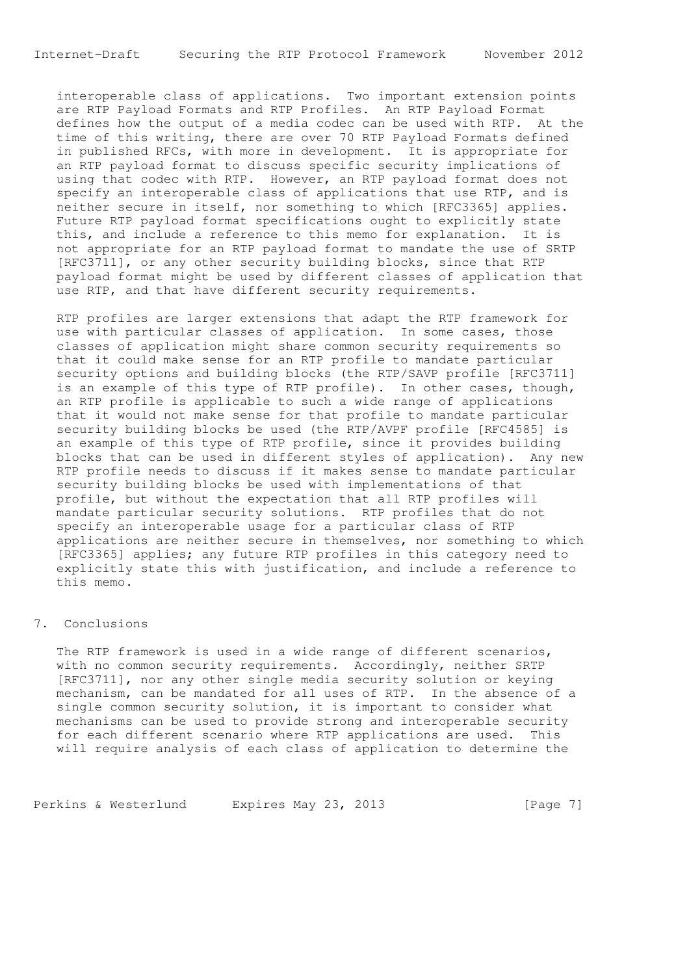Internet-Draft Securing the RTP Protocol Framework November 2012

 interoperable class of applications. Two important extension points are RTP Payload Formats and RTP Profiles. An RTP Payload Format defines how the output of a media codec can be used with RTP. At the time of this writing, there are over 70 RTP Payload Formats defined in published RFCs, with more in development. It is appropriate for an RTP payload format to discuss specific security implications of using that codec with RTP. However, an RTP payload format does not specify an interoperable class of applications that use RTP, and is neither secure in itself, nor something to which [RFC3365] applies. Future RTP payload format specifications ought to explicitly state this, and include a reference to this memo for explanation. It is not appropriate for an RTP payload format to mandate the use of SRTP [RFC3711], or any other security building blocks, since that RTP payload format might be used by different classes of application that use RTP, and that have different security requirements.

 RTP profiles are larger extensions that adapt the RTP framework for use with particular classes of application. In some cases, those classes of application might share common security requirements so that it could make sense for an RTP profile to mandate particular security options and building blocks (the RTP/SAVP profile [RFC3711] is an example of this type of RTP profile). In other cases, though, an RTP profile is applicable to such a wide range of applications that it would not make sense for that profile to mandate particular security building blocks be used (the RTP/AVPF profile [RFC4585] is an example of this type of RTP profile, since it provides building blocks that can be used in different styles of application). Any new RTP profile needs to discuss if it makes sense to mandate particular security building blocks be used with implementations of that profile, but without the expectation that all RTP profiles will mandate particular security solutions. RTP profiles that do not specify an interoperable usage for a particular class of RTP applications are neither secure in themselves, nor something to which [RFC3365] applies; any future RTP profiles in this category need to explicitly state this with justification, and include a reference to this memo.

### 7. Conclusions

 The RTP framework is used in a wide range of different scenarios, with no common security requirements. Accordingly, neither SRTP [RFC3711], nor any other single media security solution or keying mechanism, can be mandated for all uses of RTP. In the absence of a single common security solution, it is important to consider what mechanisms can be used to provide strong and interoperable security for each different scenario where RTP applications are used. This will require analysis of each class of application to determine the

Perkins & Westerlund Expires May 23, 2013 [Page 7]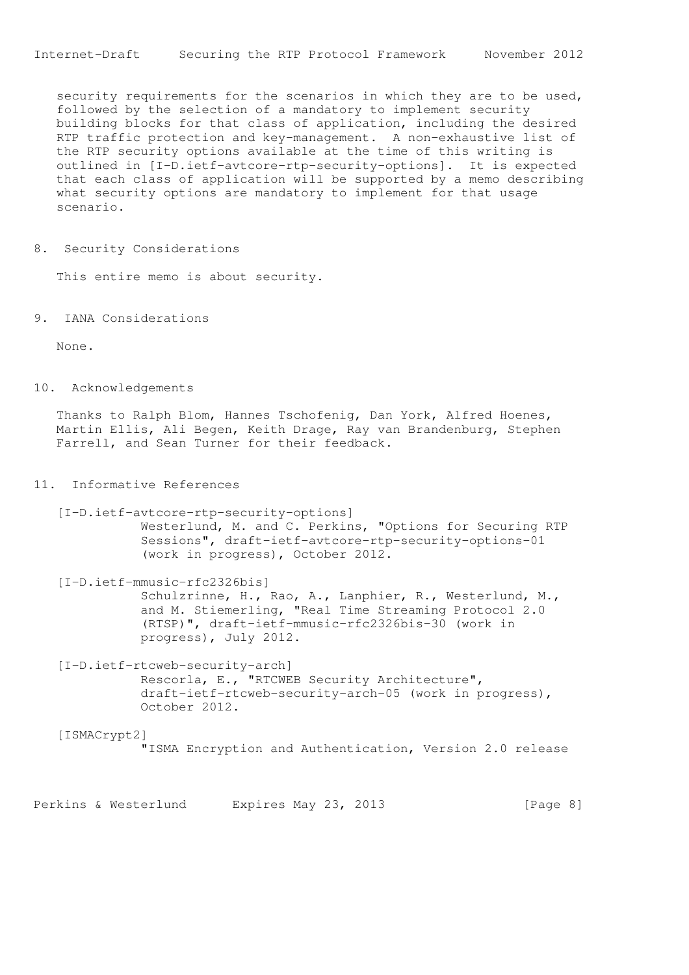security requirements for the scenarios in which they are to be used, followed by the selection of a mandatory to implement security building blocks for that class of application, including the desired RTP traffic protection and key-management. A non-exhaustive list of the RTP security options available at the time of this writing is outlined in [I-D.ietf-avtcore-rtp-security-options]. It is expected that each class of application will be supported by a memo describing what security options are mandatory to implement for that usage scenario.

8. Security Considerations

This entire memo is about security.

9. IANA Considerations

None.

10. Acknowledgements

 Thanks to Ralph Blom, Hannes Tschofenig, Dan York, Alfred Hoenes, Martin Ellis, Ali Begen, Keith Drage, Ray van Brandenburg, Stephen Farrell, and Sean Turner for their feedback.

### 11. Informative References

 [I-D.ietf-avtcore-rtp-security-options] Westerlund, M. and C. Perkins, "Options for Securing RTP Sessions", draft-ietf-avtcore-rtp-security-options-01 (work in progress), October 2012.

 [I-D.ietf-mmusic-rfc2326bis] Schulzrinne, H., Rao, A., Lanphier, R., Westerlund, M., and M. Stiemerling, "Real Time Streaming Protocol 2.0 (RTSP)", draft-ietf-mmusic-rfc2326bis-30 (work in progress), July 2012.

 [I-D.ietf-rtcweb-security-arch] Rescorla, E., "RTCWEB Security Architecture", draft-ietf-rtcweb-security-arch-05 (work in progress), October 2012.

 [ISMACrypt2] "ISMA Encryption and Authentication, Version 2.0 release

Perkins & Westerlund Expires May 23, 2013 [Page 8]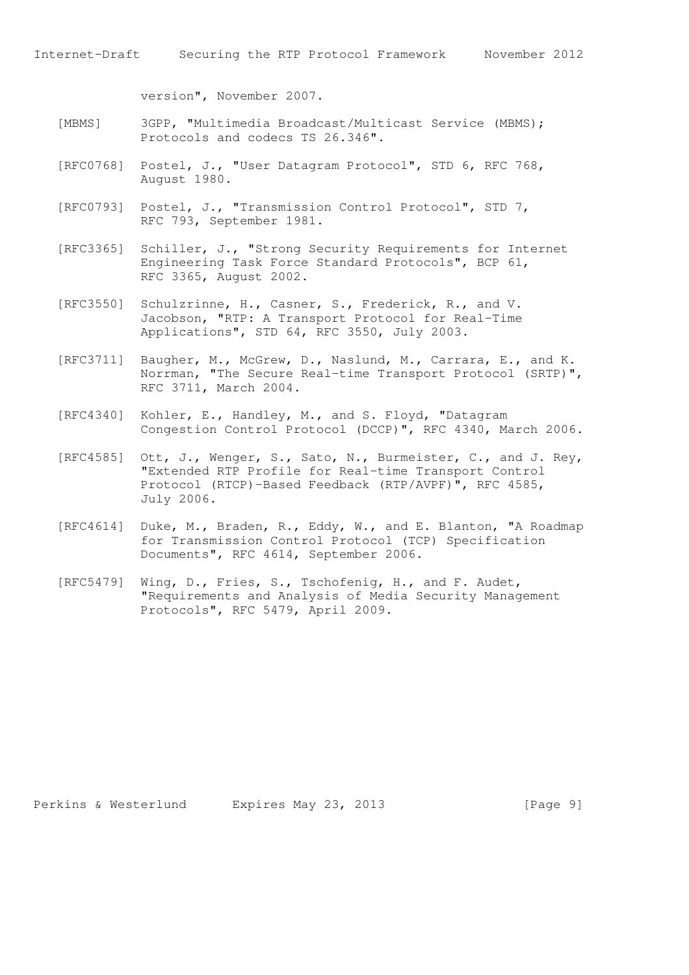version", November 2007.

- [MBMS] 3GPP, "Multimedia Broadcast/Multicast Service (MBMS); Protocols and codecs TS 26.346".
- [RFC0768] Postel, J., "User Datagram Protocol", STD 6, RFC 768, August 1980.
- [RFC0793] Postel, J., "Transmission Control Protocol", STD 7, RFC 793, September 1981.
- [RFC3365] Schiller, J., "Strong Security Requirements for Internet Engineering Task Force Standard Protocols", BCP 61, RFC 3365, August 2002.
- [RFC3550] Schulzrinne, H., Casner, S., Frederick, R., and V. Jacobson, "RTP: A Transport Protocol for Real-Time Applications", STD 64, RFC 3550, July 2003.
- [RFC3711] Baugher, M., McGrew, D., Naslund, M., Carrara, E., and K. Norrman, "The Secure Real-time Transport Protocol (SRTP)", RFC 3711, March 2004.
- [RFC4340] Kohler, E., Handley, M., and S. Floyd, "Datagram Congestion Control Protocol (DCCP)", RFC 4340, March 2006.
- [RFC4585] Ott, J., Wenger, S., Sato, N., Burmeister, C., and J. Rey, "Extended RTP Profile for Real-time Transport Control Protocol (RTCP)-Based Feedback (RTP/AVPF)", RFC 4585, July 2006.
- [RFC4614] Duke, M., Braden, R., Eddy, W., and E. Blanton, "A Roadmap for Transmission Control Protocol (TCP) Specification Documents", RFC 4614, September 2006.
- [RFC5479] Wing, D., Fries, S., Tschofenig, H., and F. Audet, "Requirements and Analysis of Media Security Management Protocols", RFC 5479, April 2009.

Perkins & Westerlund Expires May 23, 2013 [Page 9]